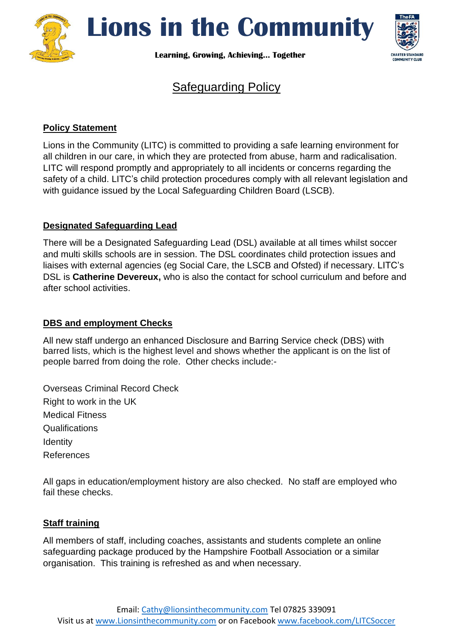

**Lions in the Community**

**Learning, Growing, Achieving… Together**



# Safeguarding Policy

# **Policy Statement**

Lions in the Community (LITC) is committed to providing a safe learning environment for all children in our care, in which they are protected from abuse, harm and radicalisation. LITC will respond promptly and appropriately to all incidents or concerns regarding the safety of a child. LITC's child protection procedures comply with all relevant legislation and with guidance issued by the Local Safeguarding Children Board (LSCB).

### **Designated Safeguarding Lead**

There will be a Designated Safeguarding Lead (DSL) available at all times whilst soccer and multi skills schools are in session. The DSL coordinates child protection issues and liaises with external agencies (eg Social Care, the LSCB and Ofsted) if necessary. LITC's DSL is **Catherine Devereux,** who is also the contact for school curriculum and before and after school activities.

# **DBS and employment Checks**

All new staff undergo an enhanced Disclosure and Barring Service check (DBS) with barred lists, which is the highest level and shows whether the applicant is on the list of people barred from doing the role. Other checks include:-

Overseas Criminal Record Check Right to work in the UK Medical Fitness **Qualifications Identity** References

All gaps in education/employment history are also checked. No staff are employed who fail these checks.

# **Staff training**

All members of staff, including coaches, assistants and students complete an online safeguarding package produced by the Hampshire Football Association or a similar organisation. This training is refreshed as and when necessary.